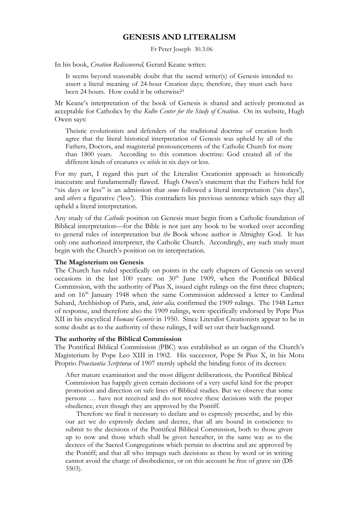# **GENESIS AND LITERALISM**

Fr Peter Joseph 30.3.06

In his book, *Creation Rediscovered,* Gerard Keane writes:

It seems beyond reasonable doubt that the sacred writer(s) of Genesis intended to assert a literal meaning of 24-hour Creation days; therefore, they must each have been 24 hours. How could it be otherwise?<sup>1</sup>

Mr Keane's interpretation of the book of Genesis is shared and actively promoted as acceptable for Catholics by the *Kolbe Center for the Study of Creation*. On its website, Hugh Owen says:

Theistic evolutionists and defenders of the traditional doctrine of creation both agree that the literal historical interpretation of Genesis was upheld by all of the Fathers, Doctors, and magisterial pronouncements of the Catholic Church for more than 1800 years. According to this common doctrine: God created all of the different kinds of creatures *ex nihilo* in six days or less.

For my part, I regard this part of the Literalist Creationist approach as historically inaccurate and fundamentally flawed. Hugh Owen's statement that the Fathers held for "six days or less" is an admission that *some* followed a literal interpretation ('six days'), and *others* a figurative ('less'). This contradicts his previous sentence which says they all upheld a literal interpretation.

Any study of the *Catholic* position on Genesis must begin from a Catholic foundation of Biblical interpretation—for the Bible is not just any book to be worked over according to general rules of interpretation but *the* Book whose author is Almighty God. It has only one authorized interpreter, the Catholic Church. Accordingly, any such study must begin with the Church's position on its interpretation.

#### **The Magisterium on Genesis**

The Church has ruled specifically on points in the early chapters of Genesis on several occasions in the last  $100$  years: on  $30<sup>th</sup>$  June 1909, when the Pontifical Biblical Commission, with the authority of Pius X, issued eight rulings on the first three chapters; and on 16<sup>th</sup> January 1948 when the same Commission addressed a letter to Cardinal Suhard, Archbishop of Paris, and, *inter alia,* confirmed the 1909 rulings. The 1948 Letter of response, and therefore also the 1909 rulings, were specifically endorsed by Pope Pius XII in his encyclical *Humani Generis* in 1950. Since Literalist Creationists appear to be in some doubt as to the authority of these rulings, I will set out their background.

#### **The authority of the Biblical Commission**

The Pontifical Biblical Commission (PBC) was established as an organ of the Church's Magisterium by Pope Leo XIII in 1902. His successor, Pope St Pius X, in his Motu Proprio *Praestantia Scripturae* of 1907 sternly upheld the binding force of its decrees:

After mature examination and the most diligent deliberations, the Pontifical Biblical Commission has happily given certain decisions of a very useful kind for the proper promotion and direction on safe lines of Biblical studies. But we observe that some persons … have not received and do not receive these decisions with the proper obedience, even though they are approved by the Pontiff.

Therefore we find it necessary to declare and to expressly prescribe, and by this our act we do expressly declare and decree, that all are bound in conscience to submit to the decisions of the Pontifical Biblical Commission, both to those given up to now and those which shall be given hereafter, in the same way as to the decrees of the Sacred Congregations which pertain to doctrine and are approved by the Pontiff; and that all who impugn such decisions as these by word or in writing cannot avoid the charge of disobedience, or on this account be free of grave sin (DS 3503).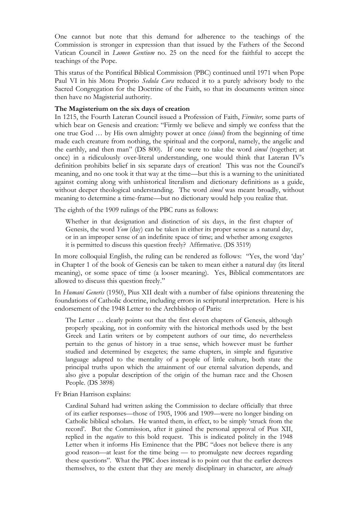One cannot but note that this demand for adherence to the teachings of the Commission is stronger in expression than that issued by the Fathers of the Second Vatican Council in *Lumen Gentium* no. 25 on the need for the faithful to accept the teachings of the Pope.

This status of the Pontifical Biblical Commission (PBC) continued until 1971 when Pope Paul VI in his Motu Proprio *Sedula Cura* reduced it to a purely advisory body to the Sacred Congregation for the Doctrine of the Faith, so that its documents written since then have no Magisterial authority.

## **The Magisterium on the six days of creation**

In 1215, the Fourth Lateran Council issued a Profession of Faith, *Firmiter,* some parts of which bear on Genesis and creation: "Firmly we believe and simply we confess that the one true God … by His own almighty power at once *(simul)* from the beginning of time made each creature from nothing, the spiritual and the corporal, namely, the angelic and the earthly, and then man" (DS 800). If one were to take the word *simul* (together; at once) in a ridiculously over-literal understanding, one would think that Lateran IV's definition prohibits belief in six separate days of creation! This was not the Council's meaning, and no one took it that way at the time—but this is a warning to the uninitiated against coming along with unhistorical literalism and dictionary definitions as a guide, without deeper theological understanding. The word *simul* was meant broadly, without meaning to determine a time-frame—but no dictionary would help you realize that.

The eighth of the 1909 rulings of the PBC runs as follows:

Whether in that designation and distinction of six days, in the first chapter of Genesis, the word *Yom* (day) can be taken in either its proper sense as a natural day, or in an improper sense of an indefinite space of time; and whether among exegetes it is permitted to discuss this question freely? Affirmative. (DS 3519)

In more colloquial English, the ruling can be rendered as follows: "Yes, the word 'day' in Chapter 1 of the book of Genesis can be taken to mean either a natural day (its literal meaning), or some space of time (a looser meaning). Yes, Biblical commentators are allowed to discuss this question freely."

In *Humani Generis* (1950), Pius XII dealt with a number of false opinions threatening the foundations of Catholic doctrine, including errors in scriptural interpretation. Here is his endorsement of the 1948 Letter to the Archbishop of Paris:

The Letter … clearly points out that the first eleven chapters of Genesis, although properly speaking, not in conformity with the historical methods used by the best Greek and Latin writers or by competent authors of our time, do nevertheless pertain to the genus of history in a true sense, which however must be further studied and determined by exegetes; the same chapters, in simple and figurative language adapted to the mentality of a people of little culture, both state the principal truths upon which the attainment of our eternal salvation depends, and also give a popular description of the origin of the human race and the Chosen People. (DS 3898)

Fr Brian Harrison explains:

Cardinal Suhard had written asking the Commission to declare officially that three of its earlier responses—those of 1905, 1906 and 1909—were no longer binding on Catholic biblical scholars. He wanted them, in effect, to be simply 'struck from the record'. But the Commission, after it gained the personal approval of Pius XII, replied in the *negative* to this bold request. This is indicated politely in the 1948 Letter when it informs His Eminence that the PBC "does not believe there is any good reason—at least for the time being — to promulgate new decrees regarding these questions". What the PBC does instead is to point out that the earlier decrees themselves, to the extent that they are merely disciplinary in character, are *already*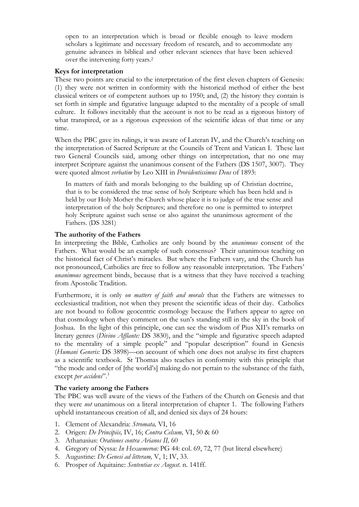open to an interpretation which is broad or flexible enough to leave modern scholars a legitimate and necessary freedom of research, and to accommodate any genuine advances in biblical and other relevant sciences that have been achieved over the intervening forty years.2

### **Keys for interpretation**

These two points are crucial to the interpretation of the first eleven chapters of Genesis: (1) they were not written in conformity with the historical method of either the best classical writers or of competent authors up to 1950; and, (2) the history they contain is set forth in simple and figurative language adapted to the mentality of a people of small culture. It follows inevitably that the account is not to be read as a rigorous history of what transpired, or as a rigorous expression of the scientific ideas of that time or any time.

When the PBC gave its rulings, it was aware of Lateran IV, and the Church's teaching on the interpretation of Sacred Scripture at the Councils of Trent and Vatican I. These last two General Councils said, among other things on interpretation, that no one may interpret Scripture against the unanimous consent of the Fathers (DS 1507, 3007). They were quoted almost *verbatim* by Leo XIII in *Providentissimus Deus* of 1893:

In matters of faith and morals belonging to the building up of Christian doctrine, that is to be considered the true sense of holy Scripture which has been held and is held by our Holy Mother the Church whose place it is to judge of the true sense and interpretation of the holy Scriptures; and therefore no one is permitted to interpret holy Scripture against such sense or also against the unanimous agreement of the Fathers. (DS 3281)

## **The authority of the Fathers**

In interpreting the Bible, Catholics are only bound by the *unanimous* consent of the Fathers. What would be an example of such consensus? Their unanimous teaching on the historical fact of Christ's miracles. But where the Fathers vary, and the Church has not pronounced, Catholics are free to follow any reasonable interpretation. The Fathers' *unanimous* agreement binds, because that is a witness that they have received a teaching from Apostolic Tradition.

Furthermore, it is only *on matters of faith and morals* that the Fathers are witnesses to ecclesiastical tradition, not when they present the scientific ideas of their day. Catholics are not bound to follow geocentric cosmology because the Fathers appear to agree on that cosmology when they comment on the sun's standing still in the sky in the book of Joshua. In the light of this principle, one can see the wisdom of Pius XII's remarks on literary genres (*Divino Afflante:* DS 3830), and the "simple and figurative speech adapted to the mentality of a simple people" and "popular description" found in Genesis (*Humani Generis:* DS 3898)—on account of which one does not analyse its first chapters as a scientific textbook. St Thomas also teaches in conformity with this principle that "the mode and order of [the world's] making do not pertain to the substance of the faith, except *per accidens*".3

## **The variety among the Fathers**

The PBC was well aware of the views of the Fathers of the Church on Genesis and that they were *not* unanimous on a literal interpretation of chapter 1. The following Fathers upheld instantaneous creation of all, and denied six days of 24 hours:

- 1. Clement of Alexandria: *Stromata,* VI, 16
- 2. Origen: *De Principiis,* IV, 16; *Contra Celsum,* VI, 50 & 60
- 3. Athanasius: *Orationes contra Arianos II,* 60
- 4. Gregory of Nyssa: *In Hexaemeron:* PG 44: col. 69, 72, 77 (but literal elsewhere)
- 5. Augustine: *De Genesi ad litteram,* V, 1; IV, 33.
- 6. Prosper of Aquitaine: *Sententiae ex August*. n. 141ff.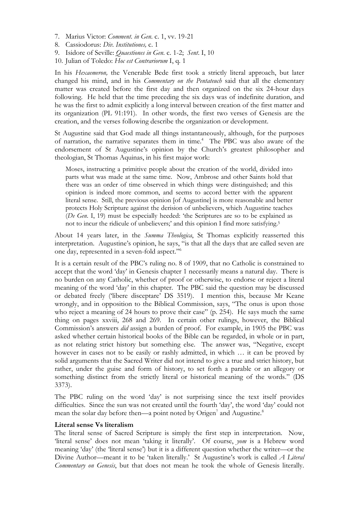- 7. Marius Victor: *Comment. in Gen*. c. 1, vv. 19-21
- 8. Cassiodorus: *Div. Institutiones,* c. 1
- 9. Isidore of Seville: *Quaestiones in Gen*. c. 1-2; *Sent*. I, 10
- 10. Julian of Toledo: *Hoc est Contrariorum* I, q. 1

In his *Hexaemeron,* the Venerable Bede first took a strictly literal approach, but later changed his mind, and in his *Commentary on the Pentateuch* said that all the elementary matter was created before the first day and then organized on the six 24-hour days following. He held that the time preceding the six days was of indefinite duration, and he was the first to admit explicitly a long interval between creation of the first matter and its organization (PL 91:191). In other words, the first two verses of Genesis are the creation, and the verses following describe the organization or development.

St Augustine said that God made all things instantaneously, although, for the purposes of narration, the narrative separates them in time.<sup>4</sup> The PBC was also aware of the endorsement of St Augustine's opinion by the Church's greatest philosopher and theologian, St Thomas Aquinas, in his first major work:

Moses, instructing a primitive people about the creation of the world, divided into parts what was made at the same time. Now, Ambrose and other Saints hold that there was an order of time observed in which things were distinguished; and this opinion is indeed more common, and seems to accord better with the apparent literal sense. Still, the previous opinion [of Augustine] is more reasonable and better protects Holy Scripture against the derision of unbelievers, which Augustine teaches (*De Gen*. I, 19) must be especially heeded: 'the Scriptures are so to be explained as not to incur the ridicule of unbelievers;' and this opinion I find more satisfying.5

About 14 years later, in the *Summa Theologica*, St Thomas explicitly reasserted this interpretation. Augustine's opinion, he says, "is that all the days that are called seven are one day, represented in a seven-fold aspect."6

It is a certain result of the PBC's ruling no. 8 of 1909, that no Catholic is constrained to accept that the word 'day' in Genesis chapter 1 necessarily means a natural day. There is no burden on any Catholic, whether of proof or otherwise, to endorse or reject a literal meaning of the word 'day' in this chapter. The PBC said the question may be discussed or debated freely ('libere disceptare' DS 3519). I mention this, because Mr Keane wrongly, and in opposition to the Biblical Commission, says, "The onus is upon those who reject a meaning of 24 hours to prove their case" (p. 254). He says much the same thing on pages xxviii, 268 and 269. In certain other rulings, however, the Biblical Commission's answers *did* assign a burden of proof. For example, in 1905 the PBC was asked whether certain historical books of the Bible can be regarded, in whole or in part, as not relating strict history but something else. The answer was, "Negative, except however in cases not to be easily or rashly admitted, in which ... it can be proved by solid arguments that the Sacred Writer did not intend to give a true and strict history, but rather, under the guise and form of history, to set forth a parable or an allegory or something distinct from the strictly literal or historical meaning of the words." (DS 3373).

The PBC ruling on the word 'day' is not surprising since the text itself provides difficulties. Since the sun was not created until the fourth 'day', the word 'day' could not mean the solar day before then—a point noted by Origen<sup>7</sup> and Augustine.<sup>8</sup>

#### **Literal sense Vs literalism**

The literal sense of Sacred Scripture is simply the first step in interpretation. Now, 'literal sense' does not mean 'taking it literally'. Of course, *yom* is a Hebrew word meaning 'day' (the 'literal sense') but it is a different question whether the writer—or the Divine Author—meant it to be 'taken literally.' St Augustine's work is called *A Literal Commentary on Genesis*, but that does not mean he took the whole of Genesis literally.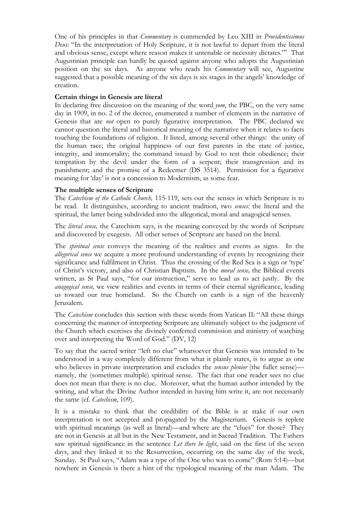One of his principles in that *Commentary* is commended by Leo XIII in *Providentissimus Deus:* "In the interpretation of Holy Scripture, it is not lawful to depart from the literal and obvious sense, except where reason makes it untenable or necessity dictates."9 That Augustinian principle can hardly be quoted against anyone who adopts the Augustinian position on the six days. As anyone who reads his *Commentary* will see, Augustine suggested that a possible meaning of the six days is six stages in the angels' knowledge of creation.

## **Certain things in Genesis are literal**

In declaring free discussion on the meaning of the word *yom*, the PBC, on the very same day in 1909, in no. 2 of the decree, enumerated a number of elements in the narrative of Genesis that are *not* open to purely figurative interpretation. The PBC declared we cannot question the literal and historical meaning of the narrative when it relates to facts touching the foundations of religion. It listed, among several other things: the unity of the human race; the original happiness of our first parents in the state of justice, integrity, and immortality; the command issued by God to test their obedience; their temptation by the devil under the form of a serpent; their transgression and its punishment; and the promise of a Redeemer (DS 3514). Permission for a figurative meaning for 'day' is not a concession to Modernism, as some fear.

## **The multiple senses of Scripture**

The *Catechism of the Catholic Church,* 115-119, sets out the senses in which Scripture is to be read. It distinguishes, according to ancient tradition, two *senses:* the literal and the spiritual, the latter being subdivided into the allegorical, moral and anagogical senses.

The *literal sense,* the Catechism says, is the meaning conveyed by the words of Scripture and discovered by exegesis. All other senses of Scripture are based on the literal.

The *spiritual sense* conveys the meaning of the realities and events as signs. In the *allegorical sense* we acquire a more profound understanding of events by recognizing their significance and fulfilment in Christ. Thus the crossing of the Red Sea is a sign or 'type' of Christ's victory, and also of Christian Baptism. In the *moral sense,* the Biblical events written, as St Paul says, "for our instruction," serve to lead us to act justly. By the *anagogical sense,* we view realities and events in terms of their eternal significance, leading us toward our true homeland. So the Church on earth is a sign of the heavenly Jerusalem.

The *Catechism* concludes this section with these words from Vatican II: "All these things concerning the manner of interpreting Scripture are ultimately subject to the judgment of the Church which exercises the divinely conferred commission and ministry of watching over and interpreting the Word of God." (DV, 12)

To say that the sacred writer "left no clue" whatsoever that Genesis was intended to be understood in a way completely different from what it plainly states, is to argue as one who believes in private interpretation and excludes the *sensus plenior* (the fuller sense) namely, the (sometimes multiple) spiritual sense. The fact that one reader sees no clue does not mean that there is no clue. Moreover, what the human author intended by the writing, and what the Divine Author intended in having him write it, are not necessarily the same (cf. *Catechism*, 109).

It is a mistake to think that the credibility of the Bible is at stake if our own interpretation is not accepted and propagated by the Magisterium. Genesis is replete with spiritual meanings (as well as literal)—and where are the "clues" for those? They are not in Genesis at all but in the New Testament, and in Sacred Tradition. The Fathers saw spiritual significance in the sentence *Let there be light*, said on the first of the seven days, and they linked it to the Resurrection, occurring on the same day of the week, Sunday. St Paul says, "Adam was a type of the One who was to come" (Rom 5:14)—but nowhere in Genesis is there a hint of the typological meaning of the man Adam. The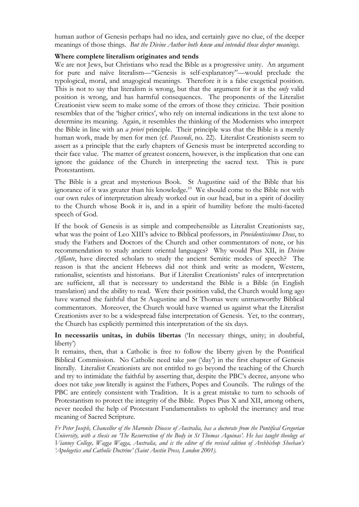human author of Genesis perhaps had no idea, and certainly gave no clue, of the deeper meanings of those things. *But the Divine Author both knew and intended those deeper meanings*.

## **Where complete literalism originates and tends**

We are not Jews, but Christians who read the Bible as a progressive unity. An argument for pure and naïve literalism—"Genesis is self-explanatory"—would preclude the typological, moral, and anagogical meanings. Therefore it is a false exegetical position. This is not to say that literalism is wrong, but that the argument for it as the *only* valid position is wrong, and has harmful consequences. The proponents of the Literalist Creationist view seem to make some of the errors of those they criticize. Their position resembles that of the 'higher critics', who rely on internal indications in the text alone to determine its meaning. Again, it resembles the thinking of the Modernists who interpret the Bible in line with an *a priori* principle. Their principle was that the Bible is a merely human work, made by men for men (cf. *Pascendi*, no. 22). Literalist Creationists seem to assert as a principle that the early chapters of Genesis must be interpreted according to their face value. The matter of greatest concern, however, is the implication that one can ignore the guidance of the Church in interpreting the sacred text. This is pure Protestantism.

The Bible is a great and mysterious Book. St Augustine said of the Bible that his ignorance of it was greater than his knowledge.<sup>10</sup> We should come to the Bible not with our own rules of interpretation already worked out in our head, but in a spirit of docility to the Church whose Book it is, and in a spirit of humility before the multi-faceted speech of God.

If the book of Genesis is as simple and comprehensible as Literalist Creationists say, what was the point of Leo XIII's advice to Biblical professors, in *Providentissimus Deus*, to study the Fathers and Doctors of the Church and other commentators of note, or his recommendation to study ancient oriental languages? Why would Pius XII, in *Divino Afflante*, have directed scholars to study the ancient Semitic modes of speech? The reason is that the ancient Hebrews did not think and write as modern, Western, rationalist, scientists and historians. But if Literalist Creationists' rules of interpretation are sufficient, all that is necessary to understand the Bible is a Bible (in English translation) and the ability to read. Were their position valid, the Church would long ago have warned the faithful that St Augustine and St Thomas were untrustworthy Biblical commentators. Moreover, the Church would have warned us against what the Literalist Creationists aver to be a widespread false interpretation of Genesis. Yet, to the contrary, the Church has explicitly permitted this interpretation of the six days.

**In necessariis unitas, in dubiis libertas** ('In necessary things, unity; in doubtful, liberty')

It remains, then, that a Catholic is free to follow the liberty given by the Pontifical Biblical Commission. No Catholic need take *yom* ('day') in the first chapter of Genesis literally. Literalist Creationists are not entitled to go beyond the teaching of the Church and try to intimidate the faithful by asserting that, despite the PBC's decree, anyone who does not take *yom* literally is against the Fathers, Popes and Councils. The rulings of the PBC are entirely consistent with Tradition. It is a great mistake to turn to schools of Protestantism to protect the integrity of the Bible. Popes Pius X and XII, among others, never needed the help of Protestant Fundamentalists to uphold the inerrancy and true meaning of Sacred Scripture.

*Fr Peter Joseph, Chancellor of the Maronite Diocese of Australia, has a doctorate from the Pontifical Gregorian University, with a thesis on 'The Resurrection of the Body in St Thomas Aquinas'. He has taught theology at Vianney College, Wagga Wagga, Australia, and is the editor of the revised edition of Archbishop Sheehan's 'Apologetics and Catholic Doctrine' (Saint Austin Press, London 2001).*